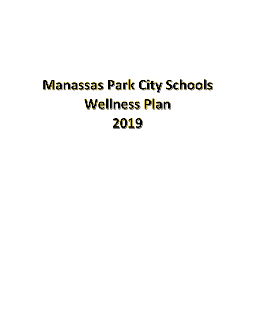# **Manassas Park City Schools Wellness Plan** 2019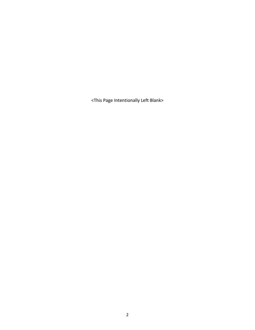<This Page Intentionally Left Blank>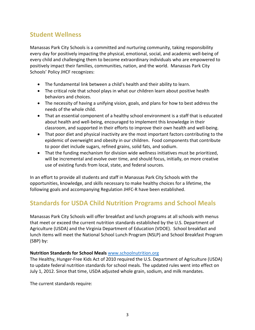# **Student Wellness**

Manassas Park City Schools is a committed and nurturing community, taking responsibility every day for positively impacting the physical, emotional, social, and academic well-being of every child and challenging them to become extraordinary individuals who are empowered to positively impact their families, communities, nation, and the world. Manassas Park City Schools' Policy JHCF recognizes:

- The fundamental link between a child's health and their ability to learn.
- The critical role that school plays in what our children learn about positive health behaviors and choices.
- The necessity of having a unifying vision, goals, and plans for how to best address the needs of the whole child.
- That an essential component of a healthy school environment is a staff that is educated about health and well-being, encouraged to implement this knowledge in their classroom, and supported in their efforts to improve their own health and well-being.
- That poor diet and physical inactivity are the most important factors contributing to the epidemic of overweight and obesity in our children. Food components that contribute to poor diet include sugars, refined grains, solid fats, and sodium.
- That the funding mechanism for division wide wellness initiatives must be prioritized, will be incremental and evolve over time, and should focus, initially, on more creative use of existing funds from local, state, and federal sources.

In an effort to provide all students and staff in Manassas Park City Schools with the opportunities, knowledge, and skills necessary to make healthy choices for a lifetime, the following goals and accompanying Regulation JHFC-R have been established.

# **Standards for USDA Child Nutrition Programs and School Meals**

Manassas Park City Schools will offer breakfast and lunch programs at all schools with menus that meet or exceed the current nutrition standards established by the U.S. Department of Agriculture (USDA) and the Virginia Department of Education (VDOE). School breakfast and lunch items will meet the National School Lunch Program (NSLP) and School Breakfast Program (SBP) by:

#### **Nutrition Standards for School Meals** [www.schoolnutrition.org](http://www.schoolnutrition.org/)

The Healthy, Hunger-Free Kids Act of 2010 required the U.S. Department of Agriculture (USDA) to update federal nutrition standards for school meals. The updated rules went into effect on July 1, 2012. Since that time, USDA adjusted whole grain, sodium, and milk mandates.

The current standards require: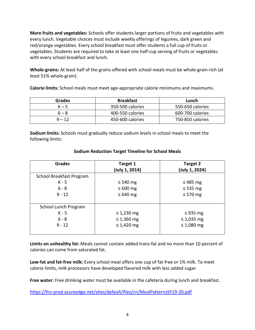**More fruits and vegetables:** Schools offer students larger portions of fruits and vegetables with every lunch. Vegetable choices must include weekly offerings of legumes, dark green and red/orange vegetables. Every school breakfast must offer students a full cup of fruits or vegetables. Students are required to take at least one half-cup serving of fruits or vegetables with every school breakfast and lunch.

**Whole-grains:** At least half of the grains offered with school meals must be whole-grain-rich (at least 51% whole-grain).

**Calorie limits:** School meals must meet age-appropriate calorie minimums and maximums.

| <b>Grades</b> | <b>Breakfast</b> | Lunch            |
|---------------|------------------|------------------|
| $K - 5$       | 350-500 calories | 550-650 calories |
| $6 - 8$       | 400-550 calories | 600-700 calories |
| $9 - 12$      | 450-600 calories | 750-850 calories |

**Sodium limits:** Schools must gradually reduce sodium levels in school meals to meet the following limits:

| <b>Grades</b>            | Target 1<br>(July 1, 2014) | Target 2<br>(July 1, 2024) |
|--------------------------|----------------------------|----------------------------|
| School Breakfast Program |                            |                            |
| $K - 5$                  | $\leq 540$ mg              | $\leq$ 485 mg              |
| $6 - 8$                  | $\leq 600$ mg              | $\leq$ 535 mg              |
| $9 - 12$                 | $\leq 640$ mg              | $\leq 570$ mg              |
|                          |                            |                            |
| School Lunch Program     |                            |                            |
| $K - 5$                  | $\leq$ 1,230 mg            | $\leq$ 935 mg              |
| $6 - 8$                  | $\leq$ 1,360 mg            | $\leq$ 1,035 mg            |
| $9 - 12$                 | $\leq 1,420$ mg            | $\leq 1,080$ mg            |
|                          |                            |                            |

#### **Sodium Reduction Target Timeline for School Meals**

**Limits on unhealthy fat:** Meals cannot contain added trans-fat and no more than 10 percent of calories can come from saturated fat.

**Low-fat and fat-free milk:** Every school meal offers one cup of fat-free or 1% milk. To meet calorie limits, milk processors have developed flavored milk with less added sugar.

**Free water:** Free drinking water must be available in the cafeteria during lunch and breakfast.

<https://fns-prod.azureedge.net/sites/default/files/cn/MealPatternsSY19-20.pdf>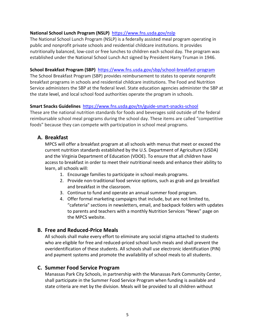#### **National School Lunch Program (NSLP)** <https://www.fns.usda.gov/nslp>

The National School Lunch Program (NSLP) is a federally assisted meal program operating in public and nonprofit private schools and residential childcare institutions. It provides nutritionally balanced, low-cost or free lunches to children each school day. The program was established under the National School Lunch Act signed by President Harry Truman in 1946.

#### **School Breakfast Program (SBP)** <https://www.fns.usda.gov/sbp/school-breakfast-program>

The School Breakfast Program (SBP) provides reimbursement to states to operate nonprofit breakfast programs in schools and residential childcare institutions. The Food and Nutrition Service administers the SBP at the federal level. State education agencies administer the SBP at the state level, and local school food authorities operate the program in schools.

#### **Smart Snacks Guidelines** <https://www.fns.usda.gov/tn/guide-smart-snacks-school>

These are the national nutrition standards for foods and beverages sold outside of the federal reimbursable school meal programs during the school day. These items are called "competitive foods" because they can compete with participation in school meal programs.

#### **A. Breakfast**

MPCS will offer a breakfast program at all schools with menus that meet or exceed the current nutrition standards established by the U.S. Department of Agriculture (USDA) and the Virginia Department of Education (VDOE). To ensure that all children have access to breakfast in order to meet their nutritional needs and enhance their ability to learn, all schools will:

- 1. Encourage families to participate in school meals programs.
- 2. Provide non-traditional food service options, such as grab and go breakfast and breakfast in the classroom.
- 3. Continue to fund and operate an annual summer food program.
- 4. Offer formal marketing campaigns that include, but are not limited to, "cafeteria" sections in newsletters, email, and backpack folders with updates to parents and teachers with a monthly Nutrition Services "News" page on the MPCS website.

#### **B. Free and Reduced-Price Meals**

All schools shall make every effort to eliminate any social stigma attached to students who are eligible for free and reduced-priced school lunch meals and shall prevent the overidentification of these students. All schools shall use electronic identification (PIN) and payment systems and promote the availability of school meals to all students.

#### **C. Summer Food Service Program**

Manassas Park City Schools, in partnership with the Manassas Park Community Center, shall participate in the Summer Food Service Program when funding is available and state criteria are met by the division. Meals will be provided to all children without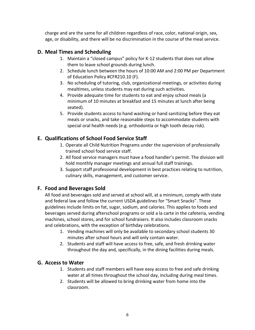charge and are the same for all children regardless of race, color, national origin, sex, age, or disability, and there will be no discrimination in the course of the meal service.

## **D. Meal Times and Scheduling**

- 1. Maintain a "closed campus" policy for K-12 students that does not allow them to leave school grounds during lunch.
- 2. Schedule lunch between the hours of 10:00 AM and 2:00 PM per Department of Education Policy #CFR210.10 (F).
- 3. No scheduling of tutoring, club, organizational meetings, or activities during mealtimes, unless students may eat during such activities.
- 4. Provide adequate time for students to eat and enjoy school meals (a minimum of 10 minutes at breakfast and 15 minutes at lunch after being seated).
- 5. Provide students access to hand washing or hand sanitizing before they eat meals or snacks, and take reasonable steps to accommodate students with special oral health needs (e.g. orthodontia or high tooth decay risk).

## **E. Qualifications of School Food Service Staff**

- 1. Operate all Child Nutrition Programs under the supervision of professionally trained school food service staff.
- 2. All food service managers must have a food handler's permit. The division will hold monthly manager meetings and annual full staff trainings.
- 3. Support staff professional development in best practices relating to nutrition, culinary skills, management, and customer service.

## **F. Food and Beverages Sold**

All food and beverages sold and served at school will, at a minimum, comply with state and federal law and follow the current USDA guidelines for "Smart Snacks". These guidelines include limits on fat, sugar, sodium, and calories. This applies to foods and beverages served during afterschool programs or sold a la carte in the cafeteria, vending machines, school stores, and for school fundraisers. It also includes classroom snacks and celebrations, with the exception of birthday celebrations.

- 1. Vending machines will only be available to secondary school students 30 minutes after school hours and will only contain water.
- 2. Students and staff will have access to free, safe, and fresh drinking water throughout the day and, specifically, in the dining facilities during meals.

## **G. Access to Water**

- 1. Students and staff members will have easy access to free and safe drinking water at all times throughout the school day, including during meal times.
- 2. Students will be allowed to bring drinking water from home into the classroom.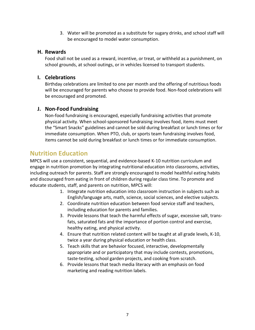3. Water will be promoted as a substitute for sugary drinks, and school staff will be encouraged to model water consumption.

#### **H. Rewards**

Food shall not be used as a reward, incentive, or treat, or withheld as a punishment, on school grounds, at school outings, or in vehicles licensed to transport students.

### **I. Celebrations**

Birthday celebrations are limited to one per month and the offering of nutritious foods will be encouraged for parents who choose to provide food. Non-food celebrations will be encouraged and promoted.

## **J. Non-Food Fundraising**

Non-food fundraising is encouraged, especially fundraising activities that promote physical activity. When school-sponsored fundraising involves food, items must meet the "Smart Snacks" guidelines and cannot be sold during breakfast or lunch times or for immediate consumption. When PTO, club, or sports team fundraising involves food, items cannot be sold during breakfast or lunch times or for immediate consumption.

# **Nutrition Education**

MPCS will use a consistent, sequential, and evidence-based K-10 nutrition curriculum and engage in nutrition promotion by integrating nutritional education into classrooms, activities, including outreach for parents. Staff are strongly encouraged to model healthful eating habits and discouraged from eating in front of children during regular class time. To promote and educate students, staff, and parents on nutrition, MPCS will:

- 1. Integrate nutrition education into classroom instruction in subjects such as English/language arts, math, science, social sciences, and elective subjects.
- 2. Coordinate nutrition education between food service staff and teachers, including education for parents and families.
- 3. Provide lessons that teach the harmful effects of sugar, excessive salt, transfats, saturated fats and the importance of portion control and exercise, healthy eating, and physical activity.
- 4. Ensure that nutrition related content will be taught at all grade levels, K-10, twice a year during physical education or health class.
- 5. Teach skills that are behavior focused, interactive, developmentally appropriate and or participatory that may include contests, promotions, taste-testing, school garden projects, and cooking from scratch.
- 6. Provide lessons that teach media literacy with an emphasis on food marketing and reading nutrition labels.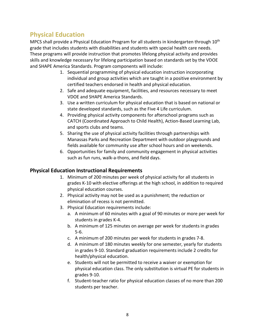# **Physical Education**

MPCS shall provide a Physical Education Program for all students in kindergarten through 10<sup>th</sup> grade that includes students with disabilities and students with special health care needs. These programs will provide instruction that promotes lifelong physical activity and provides skills and knowledge necessary for lifelong participation based on standards set by the VDOE and SHAPE America Standards. Program components will include:

- 1. Sequential programming of physical education instruction incorporating individual and group activities which are taught in a positive environment by certified teachers endorsed in health and physical education.
- 2. Safe and adequate equipment, facilities, and resources necessary to meet VDOE and SHAPE America Standards.
- 3. Use a written curriculum for physical education that is based on national or state developed standards, such as the Five 4 Life curriculum.
- 4. Providing physical activity components for afterschool programs such as CATCH (Coordinated Approach to Child Health), Action-Based Learning Lab, and sports clubs and teams.
- 5. Sharing the use of physical activity facilities through partnerships with Manassas Parks and Recreation Department with outdoor playgrounds and fields available for community use after school hours and on weekends.
- 6. Opportunities for family and community engagement in physical activities such as fun runs, walk-a-thons, and field days.

## **Physical Education Instructional Requirements**

- 1. Minimum of 200 minutes per week of physical activity for all students in grades K-10 with elective offerings at the high school, in addition to required physical education courses.
- 2. Physical activity may not be used as a punishment; the reduction or elimination of recess is not permitted.
- 3. Physical Education requirements include:
	- a. A minimum of 60 minutes with a goal of 90 minutes or more per week for students in grades K-4.
	- b. A minimum of 125 minutes on average per week for students in grades 5-6.
	- c. A minimum of 200 minutes per week for students in grades 7-8.
	- d. A minimum of 180 minutes weekly for one semester, yearly for students in grades 9-10. Standard graduation requirements include 2 credits for health/physical education.
	- e. Students will not be permitted to receive a waiver or exemption for physical education class. The only substitution is virtual PE for students in grades 9-10.
	- f. Student-teacher ratio for physical education classes of no more than 200 students per teacher.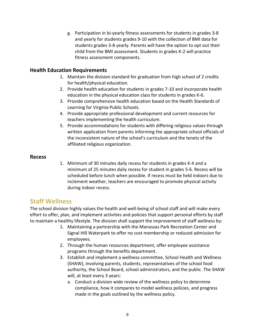g. Participation in bi-yearly fitness assessments for students in grades 3-8 and yearly for students grades 9-10 with the collection of BMI data for students grades 3-8 yearly. Parents will have the option to opt out their child from the BMI assessment. Students in grades K-2 will practice fitness assessment components.

#### **Health Education Requirements**

- 1. Maintain the division standard for graduation from high school of 2 credits for health/physical education.
- 2. Provide health education for students in grades 7-10 and incorporate health education in the physical education class for students in grades K-6.
- 3. Provide comprehensive health education based on the Health Standards of Learning for Virginia Public Schools.
- 4. Provide appropriate professional development and current resources for teachers implementing the health curriculum.
- 5. Provide accommodations for students with differing religious values through written application from parents informing the appropriate school officials of the inconsistent nature of the school's curriculum and the tenets of the affiliated religious organization.

#### **Recess**

1. Minimum of 30 minutes daily recess for students in grades K-4 and a minimum of 25 minutes daily recess for student in grades 5-6. Recess will be scheduled before lunch when possible. If recess must be held indoors due to inclement weather, teachers are encouraged to promote physical activity during indoor recess.

## **Staff Wellness**

The school division highly values the health and well-being of school staff and will make every effort to offer, plan, and implement activities and policies that support personal efforts by staff to maintain a healthy lifestyle. The division shall support the improvement of staff wellness by:

- 1. Maintaining a partnership with the Manassas Park Recreation Center and Signal Hill Waterpark to offer no cost membership or reduced admission for employees.
- 2. Through the human resources department, offer employee assistance programs through the benefits department.
- 3. Establish and implement a wellness committee, School Health and Wellness (SHAW), involving parents, students, representatives of the school food authority, the School Board, school administrators, and the public. The SHAW will, at least every 3 years:
	- a. Conduct a division wide review of the wellness policy to determine compliance, how it compares to model wellness policies, and progress made in the goals outlined by the wellness policy.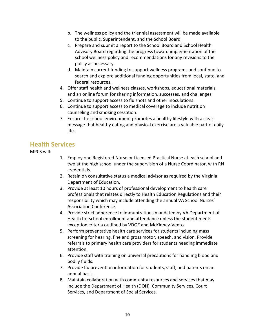- b. The wellness policy and the triennial assessment will be made available to the public, Superintendent, and the School Board.
- c. Prepare and submit a report to the School Board and School Health Advisory Board regarding the progress toward implementation of the school wellness policy and recommendations for any revisions to the policy as necessary.
- d. Maintain current funding to support wellness programs and continue to search and explore additional funding opportunities from local, state, and federal resources.
- 4. Offer staff health and wellness classes, workshops, educational materials, and an online forum for sharing information, successes, and challenges.
- 5. Continue to support access to flu shots and other inoculations.
- 6. Continue to support access to medical coverage to include nutrition counseling and smoking cessation.
- 7. Ensure the school environment promotes a healthy lifestyle with a clear message that healthy eating and physical exercise are a valuable part of daily life.

## **Health Services**

MPCS will:

- 1. Employ one Registered Nurse or Licensed Practical Nurse at each school and two at the high school under the supervision of a Nurse Coordinator, with RN credentials.
- 2. Retain on consultative status a medical advisor as required by the Virginia Department of Education.
- 3. Provide at least 10 hours of professional development to health care professionals that relates directly to Health Education Regulations and their responsibility which may include attending the annual VA School Nurses' Association Conference.
- 4. Provide strict adherence to immunizations mandated by VA Department of Health for school enrollment and attendance unless the student meets exception criteria outlined by VDOE and McKinney-Vento.
- 5. Perform preventative health care services for students including mass screening for hearing, fine and gross motor, speech, and vision. Provide referrals to primary health care providers for students needing immediate attention.
- 6. Provide staff with training on universal precautions for handling blood and bodily fluids.
- 7. Provide flu prevention information for students, staff, and parents on an annual basis.
- 8. Maintain collaboration with community resources and services that may include the Department of Health (DOH), Community Services, Court Services, and Department of Social Services.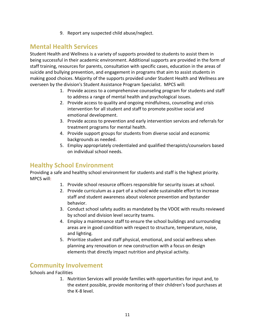9. Report any suspected child abuse/neglect.

# **Mental Health Services**

Student Health and Wellness is a variety of supports provided to students to assist them in being successful in their academic environment. Additional supports are provided in the form of staff training, resources for parents, consultation with specific cases, education in the areas of suicide and bullying prevention, and engagement in programs that aim to assist students in making good choices. Majority of the supports provided under Student Health and Wellness are overseen by the division's Student Assistance Program Specialist. MPCS will:

- 1. Provide access to a comprehensive counseling program for students and staff to address a range of mental health and psychological issues.
- 2. Provide access to quality and ongoing mindfulness, counseling and crisis intervention for all student and staff to promote positive social and emotional development.
- 3. Provide access to prevention and early intervention services and referrals for treatment programs for mental health.
- 4. Provide support groups for students from diverse social and economic backgrounds as needed.
- 5. Employ appropriately credentialed and qualified therapists/counselors based on individual school needs.

# **Healthy School Environment**

Providing a safe and healthy school environment for students and staff is the highest priority. MPCS will:

- 1. Provide school resource officers responsible for security issues at school.
- 2. Provide curriculum as a part of a school wide sustainable effort to increase staff and student awareness about violence prevention and bystander behavior.
- 3. Conduct school safety audits as mandated by the VDOE with results reviewed by school and division level security teams.
- 4. Employ a maintenance staff to ensure the school buildings and surrounding areas are in good condition with respect to structure, temperature, noise, and lighting.
- 5. Prioritize student and staff physical, emotional, and social wellness when planning any renovation or new construction with a focus on design elements that directly impact nutrition and physical activity.

# **Community Involvement**

#### Schools and Facilities

1. Nutrition Services will provide families with opportunities for input and, to the extent possible, provide monitoring of their children's food purchases at the K-8 level.